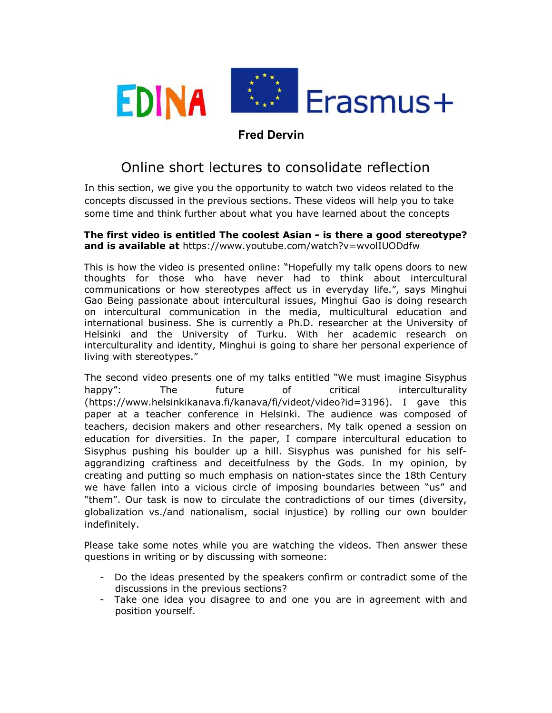

## Fred Dervin

## Online short lectures to consolidate reflection

In this section, we give you the opportunity to watch two videos related to the concepts discussed in the previous sections. These videos will help you to take some time and think further about what you have learned about the concepts

## The first video is entitled The coolest Asian - is there a good stereotype? and is available at https://www.youtube.com/watch?v=wvolIUODdfw

This is how the video is presented online: "Hopefully my talk opens doors to new thoughts for those who have never had to think about intercultural communications or how stereotypes affect us in everyday life.", says Minghui Gao Being passionate about intercultural issues, Minghui Gao is doing research on intercultural communication in the media, multicultural education and international business. She is currently a Ph.D. researcher at the University of Helsinki and the University of Turku. With her academic research on interculturality and identity, Minghui is going to share her personal experience of living with stereotypes."

The second video presents one of my talks entitled "We must imagine Sisyphus happy": The future of critical interculturality (https://www.helsinkikanava.fi/kanava/fi/videot/video?id=3196). I gave this paper at a teacher conference in Helsinki. The audience was composed of teachers, decision makers and other researchers. My talk opened a session on education for diversities. In the paper, I compare intercultural education to Sisyphus pushing his boulder up a hill. Sisyphus was punished for his selfaggrandizing craftiness and deceitfulness by the Gods. In my opinion, by creating and putting so much emphasis on nation-states since the 18th Century we have fallen into a vicious circle of imposing boundaries between "us" and "them". Our task is now to circulate the contradictions of our times (diversity, globalization vs./and nationalism, social injustice) by rolling our own boulder indefinitely.

Please take some notes while you are watching the videos. Then answer these questions in writing or by discussing with someone:

- Do the ideas presented by the speakers confirm or contradict some of the discussions in the previous sections?
- Take one idea you disagree to and one you are in agreement with and position yourself.